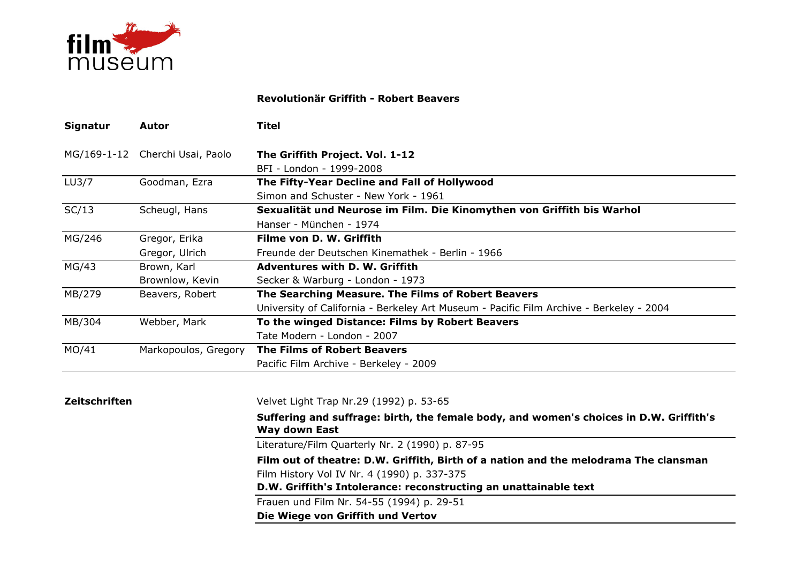

## Revolutionär Griffith - Robert Beavers

| Signatur           | Autor                           | <b>Titel</b>                                                                            |
|--------------------|---------------------------------|-----------------------------------------------------------------------------------------|
|                    | MG/169-1-12 Cherchi Usai, Paolo | The Griffith Project. Vol. 1-12                                                         |
|                    |                                 | BFI - London - 1999-2008                                                                |
| LU <sub>3</sub> /7 | Goodman, Ezra                   | The Fifty-Year Decline and Fall of Hollywood                                            |
|                    |                                 | Simon and Schuster - New York - 1961                                                    |
| SC/13              | Scheugl, Hans                   | Sexualität und Neurose im Film. Die Kinomythen von Griffith bis Warhol                  |
|                    |                                 | Hanser - München - 1974                                                                 |
| MG/246             | Gregor, Erika                   | Filme von D. W. Griffith                                                                |
|                    | Gregor, Ulrich                  | Freunde der Deutschen Kinemathek - Berlin - 1966                                        |
| MG/43              | Brown, Karl                     | <b>Adventures with D. W. Griffith</b>                                                   |
|                    | Brownlow, Kevin                 | Secker & Warburg - London - 1973                                                        |
| MB/279             | Beavers, Robert                 | The Searching Measure. The Films of Robert Beavers                                      |
|                    |                                 | University of California - Berkeley Art Museum - Pacific Film Archive - Berkeley - 2004 |
| MB/304             | Webber, Mark                    | To the winged Distance: Films by Robert Beavers                                         |
|                    |                                 | Tate Modern - London - 2007                                                             |
| MO/41              | Markopoulos, Gregory            | <b>The Films of Robert Beavers</b>                                                      |
|                    |                                 | Pacific Film Archive - Berkeley - 2009                                                  |
|                    |                                 |                                                                                         |

## Zeitschriften

Velvet Light Trap Nr.29 (1992) p. 53-65

Suffering and suffrage: birth, the female body, and women's choices in D.W. Griffith's Way down East

Literature/Film Quarterly Nr. 2 (1990) p. 87-95

Film out of theatre: D.W. Griffith, Birth of a nation and the melodrama The clansmanFilm History Vol IV Nr. 4 (1990) p. 337-375

D.W. Griffith's Intolerance: reconstructing an unattainable text

Frauen und Film Nr. 54-55 (1994) p. 29-51

Die Wiege von Griffith und Vertov